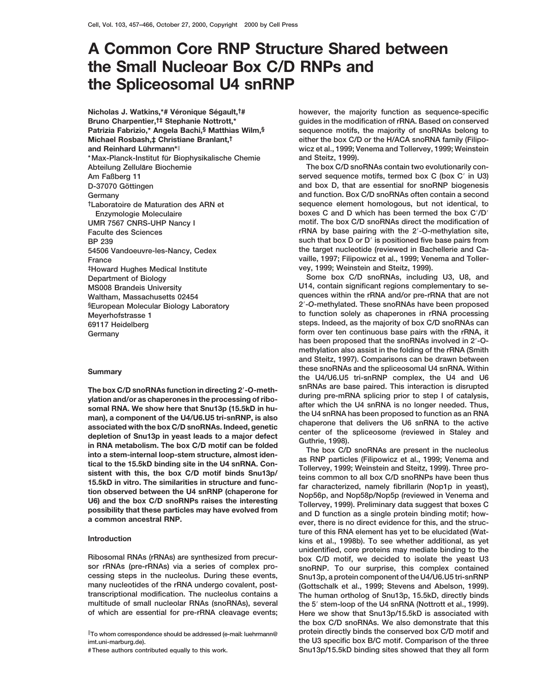# **A Common Core RNP Structure Shared between the Small Nucleoar Box C/D RNPs and the Spliceosomal U4 snRNP**

Nicholas J. Watkins,\*# Véronique Ségault,<sup>†#</sup> **Bruno Charpentier,†‡ Stephanie Nottrott,\* Patrizia Fabrizio,\* Angela Bachi,§ Matthias Wilm,§ Michael Rosbash,‡ Christiane Branlant,† and Reinhard Lührmann\***<sup>||</sup> **\*Max-Planck-Institut fu¨r Biophysikalische Chemie and Steitz, 1999). ‡Howard Hughes Medical Institute vey, 1999; Weinstein and Steitz, 1999). Department of Biology Some box C/D snoRNAs, including U3, U8, and**

ylation and/or as chaperones in the processing of ribo-<br>somal RNA. We show here that Snu13p (15.5kD in hu-<br>ster which the U4 snRNA is no longer needed. Thus,<br>associated with the box C/D snoRNAs. Indeed, genetic chare that

**however, the majority function as sequence-specific guides in the modification of rRNA. Based on conserved sequence motifs, the majority of snoRNAs belong to either the box C/D or the H/ACA snoRNA family (Filipowicz et al., 1999; Venema and Tollervey, 1999; Weinstein**

Abteilung Zelluläre Biochemie **box C/D** snoRNAs contain two evolutionarily con-**Am Faßberg 11 served sequence motifs, termed box C (box C' in U3) served sequence motifs, termed box C (box C' in U3) D-37070 Göttingen and box D, that are essential for snoRNP biogenesis Germany and function. Box C/D snoRNAs often contain a second †Laboratoire de Maturation des ARN et sequence element homologous, but not identical, to Enzymologie Moleculaire boxes C and D which has been termed the box C'/D' UMR 7567 CNRS-UHP Nancy I motif. The box C/D snoRNAs direct the modification of Faculte des Sciences** *radical contract views* **rRNA by base pairing with the 2'-O-methylation site, BP 239 such that box D or D**9 **is positioned five base pairs from 54506 Vandoeuvre-les-Nancy, Cedex the target nucleotide (reviewed in Bachellerie and Ca-France vaille, 1997; Filipowicz et al., 1999; Venema and Toller-**

**MS008 Brandeis University U14, contain significant regions complementary to se-Waltham, Massachusetts 02454 quences within the rRNA and/or pre-rRNA that are not** §European Molecular Biology Laboratory **2<sup>7</sup>-O-methylated. These snoRNAs have been proposed Meyerhofstrasse 1 to function solely as chaperones in rRNA processing 69117 Heidelberg steps. Indeed, as the majority of box C/D snoRNAs can Germany form over ten continuous base pairs with the rRNA, it** has been proposed that the snoRNAs involved in 2'-O**methylation also assist in the folding of the rRNA (Smith and Steitz, 1997). Comparisons can be drawn between these snoRNAs and the spliceosomal U4 snRNA. Within**<br>the U4/U6.U5 tri-snRNP complex, the U4 and U6<br>snRNAs are base paired. This interaction is disrupted **SOFT SNAS ARE BASE PAIRED.** This interaction is disrupted that the measuring 2'-O-meth-<br>
The box C/D snoRNAs function in the preceding of ribe during pre-mRNA splicing prior to step I of catalysis,

**ture of this RNA element has yet to be elucidated (Wat-Introduction kins et al., 1998b). To see whether additional, as yet unidentified, core proteins may mediate binding to the Ribosomal RNAs (rRNAs) are synthesized from precur- box C/D motif, we decided to isolate the yeast U3 sor rRNAs (pre-rRNAs) via a series of complex pro- snoRNP. To our surprise, this complex contained cessing steps in the nucleolus. During these events, Snu13p, a protein component of the U4/U6.U5 tri-snRNP** (Gottschalk et al., 1999; Stevens and Abelson, 1999). **transcriptional modification. The nucleolus contains a The human ortholog of Snu13p, 15.5kD, directly binds multitude of small nucleolar RNAs (snoRNAs), several the 5**9 **stem-loop of the U4 snRNA (Nottrott et al., 1999). of which are essential for pre-rRNA cleavage events; Here we show that Snu13p/15.5kD is associated with the box C/D snoRNAs. We also demonstrate that this** <sup>k</sup> **protein directly binds the conserved box C/D motif and To whom correspondence should be addressed (e-mail: luehrmann@ imt.uni-marburg.de). the U3 specific box B/C motif. Comparison of the three # These authors contributed equally to this work. Snu13p/15.5kD binding sites showed that they all form**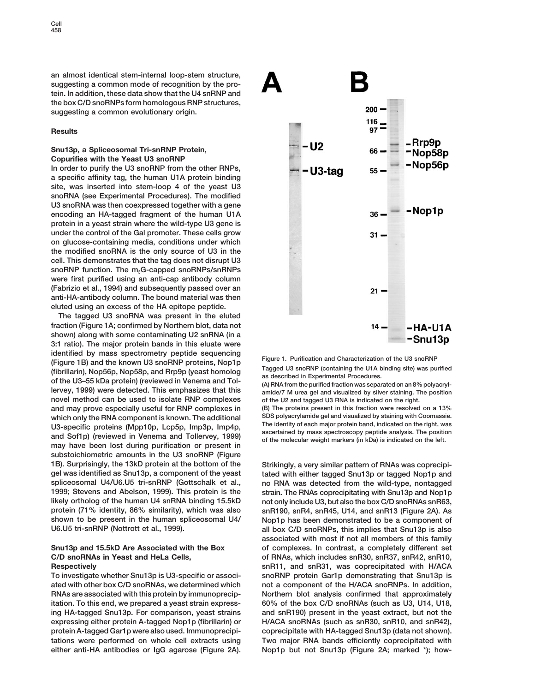**an almost identical stem-internal loop-stem structure, suggesting a common mode of recognition by the protein. In addition, these data show that the U4 snRNP and the box C/D snoRNPs form homologous RNP structures, suggesting a common evolutionary origin.**

### **Results**

# **Snu13p, a Spliceosomal Tri-snRNP Protein, Copurifies with the Yeast U3 snoRNP**

**In order to purify the U3 snoRNP from the other RNPs, a specific affinity tag, the human U1A protein binding site, was inserted into stem-loop 4 of the yeast U3 snoRNA (see Experimental Procedures). The modified U3 snoRNA was then coexpressed together with a gene encoding an HA-tagged fragment of the human U1A protein in a yeast strain where the wild-type U3 gene is under the control of the Gal promoter. These cells grow on glucose-containing media, conditions under which the modified snoRNA is the only source of U3 in the cell. This demonstrates that the tag does not disrupt U3** snoRNP function. The m<sub>3</sub>G-capped snoRNPs/snRNPs **were first purified using an anti-cap antibody column (Fabrizio et al., 1994) and subsequently passed over an anti-HA-antibody column. The bound material was then eluted using an excess of the HA epitope peptide.**

**The tagged U3 snoRNA was present in the eluted fraction (Figure 1A; confirmed by Northern blot, data not shown) along with some contaminating U2 snRNA (in a 3:1 ratio). The major protein bands in this eluate were** identified by mass spectrometry peptide sequencing<br>
(Figure 1. Purification and Characterization of the U3 snoRNP<br>
(fibrillarin), Nop56p, Nop58p, and Rrp9p (yeast homolog<br>
of the U3–55 kDa protein) (reviewed in Venema and **novel method can be used to isolate RNP complexes of the U2 and tagged U3 RNA is indicated on the right. and may prove especially useful for RNP complexes in (B) The proteins present in this fraction were resolved on a 13% which only the RNA component is known. The additional SDS polyacrylamide gel and visualized by staining with Coomassie.** U3-specific proteins (Mpp10p, Lcp5p, Imp3p, Imp4p,<br>and Sof1p) (reviewed in Venema and Tollervey, 1999) assertained by mass spectroscopy peptide analysis. The position<br>may have been lost during purification or present in **substoichiometric amounts in the U3 snoRNP (Figure 1B). Surprisingly, the 13kD protein at the bottom of the Strikingly, a very similar pattern of RNAs was coprecipigel was identified as Snu13p, a component of the yeast tated with either tagged Snu13p or tagged Nop1p and spliceosomal U4/U6.U5 tri-snRNP (Gottschalk et al., no RNA was detected from the wild-type, nontagged 1999; Stevens and Abelson, 1999). This protein is the strain. The RNAs coprecipitating with Snu13p and Nop1p likely ortholog of the human U4 snRNA binding 15.5kD not only include U3, but also the box C/D snoRNAs snR63, protein (71% identity, 86% similarity), which was also snR190, snR4, snR45, U14, and snR13 (Figure 2A). As shown to be present in the human spliceosomal U4/ Nop1p has been demonstrated to be a component of**

**ated with other box C/D snoRNAs, we determined which not a component of the H/ACA snoRNPs. In addition, RNAs are associated with this protein by immunoprecip- Northern blot analysis confirmed that approximately itation. To this end, we prepared a yeast strain express- 60% of the box C/D snoRNAs (such as U3, U14, U18, ing HA-tagged Snu13p. For comparison, yeast strains and snR190) present in the yeast extract, but not the expressing either protein A-tagged Nop1p (fibrillarin) or H/ACA snoRNAs (such as snR30, snR10, and snR42), protein A-tagged Gar1p were also used. Immunoprecipi- coprecipitate with HA-tagged Snu13p (data not shown). tations were performed on whole cell extracts using Two major RNA bands efficiently coprecipitated with either anti-HA antibodies or IgG agarose (Figure 2A). Nop1p but not Snu13p (Figure 2A; marked \*); how-**



**U6.U5 tri-snRNP (Nottrott et al., 1999). all box C/D snoRNPs, this implies that Snu13p is also associated with most if not all members of this family Snu13p and 15.5kD Are Associated with the Box of complexes. In contrast, a completely different set C/D snoRNAs in Yeast and HeLa Cells, of RNAs, which includes snR30, snR37, snR42, snR10, Respectively snR11, and snR31, was coprecipitated with H/ACA To investigate whether Snu13p is U3-specific or associ- snoRNP protein Gar1p demonstrating that Snu13p is**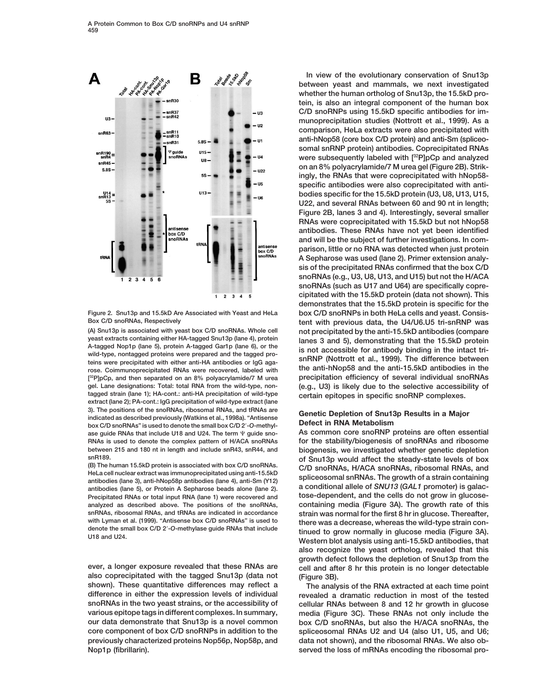

**(A) Snu13p is associated with yeast box C/D snoRNAs. Whole cell not precipitated by the anti-15.5kD antibodies (compare** yeast extracts containing either HA-tagged Snu13p (lane 4), protein<br>
A-tagged Nop1p (lane 5), protein A-tagged Gar1p (lane 6), or the<br>
wild-type, nontagged proteins were prepared and the tagged pro-<br>
teins were precipitate **rose. Coimmunoprecipitated RNAs were recovered, labeled with the anti-hNop58 and the anti-15.5kD antibodies in the** [<sup>32</sup>P]pCp, and then separated on an 8% polyacrylamide/7 M urea **gel. Lane designations: Total: total RNA from the wild-type, non- (e.g., U3) is likely due to the selective accessibility of tagged strain (lane 1); HA-cont.: anti-HA precipitation of wild-type certain epitopes in specific snoRNP complexes. extract (lane 2); PA-cont.: IgG precipitation of wild-type extract (lane** 3). The positions of the snoRNAs, ribosomal RNAs, and tRNAs are<br>
indicated as described previously (Watkins et al., 1998a). "Antisense<br> **Defect in RNA Metabolism**<br> **Defect in RNA Metabolism** box C/D snoRNAs" is used to denote the small box C/D 2'-O-methylase guide RNAs that include U18 and U24. The term V guide sno-<br>As common core snoRNP proteins are often essential **RNAs is used to denote the complex pattern of H/ACA snoRNAs for the stability/biogenesis of snoRNAs and ribosome between 215 and 180 nt in length and include snR43, snR44, and biogenesis, we investigated whether genetic depletion**

**also coprecipitated with the tagged Snu13p (data not (Figure 3B). shown). These quantitative differences may reflect a The analysis of the RNA extracted at each time point difference in either the expression levels of individual revealed a dramatic reduction in most of the tested snoRNAs in the two yeast strains, or the accessibility of cellular RNAs between 8 and 12 hr growth in glucose various epitope tags in different complexes. In summary, media (Figure 3C). These RNAs not only include the our data demonstrate that Snu13p is a novel common box C/D snoRNAs, but also the H/ACA snoRNAs, the core component of box C/D snoRNPs in addition to the spliceosomal RNAs U2 and U4 (also U1, U5, and U6; previously characterized proteins Nop56p, Nop58p, and data not shown), and the ribosomal RNAs. We also ob-Nop1p (fibrillarin). served the loss of mRNAs encoding the ribosomal pro-**

**In view of the evolutionary conservation of Snu13p between yeast and mammals, we next investigated whether the human ortholog of Snu13p, the 15.5kD protein, is also an integral component of the human box C/D snoRNPs using 15.5kD specific antibodies for immunoprecipitation studies (Nottrott et al., 1999). As a comparison, HeLa extracts were also precipitated with anti-hNop58 (core box C/D protein) and anti-Sm (spliceosomal snRNP protein) antibodies. Coprecipitated RNAs were subsequently labeled with [32P]pCp and analyzed on an 8% polyacrylamide/7 M urea gel (Figure 2B). Strikingly, the RNAs that were coprecipitated with hNop58 specific antibodies were also coprecipitated with antibodies specific for the 15.5kD protein (U3, U8, U13, U15, U22, and several RNAs between 60 and 90 nt in length; Figure 2B, lanes 3 and 4). Interestingly, several smaller RNAs were coprecipitated with 15.5kD but not hNop58 antibodies. These RNAs have not yet been identified and will be the subject of further investigations. In comparison, little or no RNA was detected when just protein A Sepharose was used (lane 2). Primer extension analysis of the precipitated RNAs confirmed that the box C/D snoRNAs (e.g., U3, U8, U13, and U15) but not the H/ACA snoRNAs (such as U17 and U64) are specifically coprecipitated with the 15.5kD protein (data not shown). This demonstrates that the 15.5kD protein is specific for the Figure 2. Snu13p and 15.5kD Are Associated with Yeast and HeLa box C/D snoRNPs in both HeLa cells and yeast. Consis**tent with previous data, the U4/U6.U5 tri-snRNP was **32P]pCp, and then separated on an 8% polyacrylamide/7 M urea precipitation efficiency of several individual snoRNAs**

snR189. of Snu13p would affect the steady-state levels of box<br>
(B) The human 15.5kD protein is associated with box C/D snoRNAs. C/D snoRNAs, H/ACA snoRNAs, ribosomal RNAs, and<br>
HeLa cell nuclear extract was immunoprecipita **Precipitated RNAs or total input RNA (lane 1) were recovered and tose-dependent, and the cells do not grow in glucoseanalyzed as described above. The positions of the snoRNAs, containing media (Figure 3A). The growth rate of this snRNAs, ribosomal RNAs, and tRNAs are indicated in accordance strain was normal for the first 8 hr in glucose. Thereafter,** with Lyman et al. (1999). "Antisense box C/D snoRNAs" is used to<br>denote the small box C/D 2'-O-methylase guide RNAs that include<br>U18 and U24. Western blot analysis using anti-15.5kD antibodies, that **also recognize the yeast ortholog, revealed that this growth defect follows the depletion of Snu13p from the ever, a longer exposure revealed that these RNAs are cell and after 8 hr this protein is no longer detectable**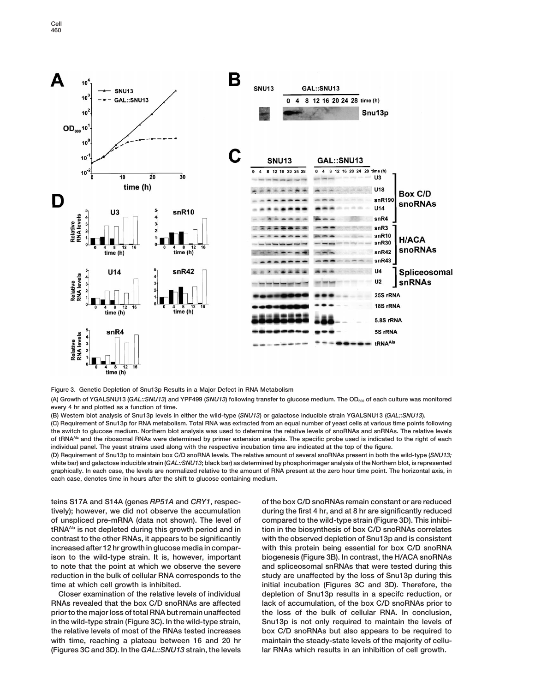

**Figure 3. Genetic Depletion of Snu13p Results in a Major Defect in RNA Metabolism**

(A) Growth of YGALSNU13 (GAL::SNU13) and YPF499 (SNU13) following transfer to glucose medium. The OD<sub>600</sub> of each culture was monitored **every 4 hr and plotted as a function of time.**

**(B) Western blot analysis of Snu13p levels in either the wild-type (***SNU13***) or galactose inducible strain YGALSNU13 (***GAL::SNU13***).**

**(C) Requirement of Snu13p for RNA metabolism. Total RNA was extracted from an equal number of yeast cells at various time points following the switch to glucose medium. Northern blot analysis was used to determine the relative levels of snoRNAs and snRNAs. The relative levels of tRNAAla and the ribosomal RNAs were determined by primer extension analysis. The specific probe used is indicated to the right of each individual panel. The yeast strains used along with the respective incubation time are indicated at the top of the figure.**

**(D) Requirement of Snu13p to maintain box C/D snoRNA levels. The relative amount of several snoRNAs present in both the wild-type (***SNU13;* **white bar) and galactose inducible strain (***GAL::SNU13***; black bar) as determined by phosphorimager analysis of the Northern blot, is represented graphically. In each case, the levels are normalized relative to the amount of RNA present at the zero hour time point. The horizontal axis, in each case, denotes time in hours after the shift to glucose containing medium.**

**tively); however, we did not observe the accumulation during the first 4 hr, and at 8 hr are significantly reduced of unspliced pre-mRNA (data not shown). The level of compared to the wild-type strain (Figure 3D). This inhibitRNA**<sup>Ala</sup> is not depleted during this growth period and in tion in the biosynthesis of box C/D snoRNAs correlates **increased after 12 hr growth in glucose media in compar- with this protein being essential for box C/D snoRNA ison to the wild-type strain. It is, however, important biogenesis (Figure 3B). In contrast, the H/ACA snoRNAs to note that the point at which we observe the severe and spliceosomal snRNAs that were tested during this reduction in the bulk of cellular RNA corresponds to the study are unaffected by the loss of Snu13p during this time at which cell growth is inhibited. initial incubation (Figures 3C and 3D). Therefore, the**

**(Figures 3C and 3D). In the** *GAL::SNU13* **strain, the levels lar RNAs which results in an inhibition of cell growth.**

**teins S17A and S14A (genes** *RP51A* **and** *CRY1***, respec- of the box C/D snoRNAs remain constant or are reduced contrast to the other RNAs, it appears to be significantly with the observed depletion of Snu13p and is consistent Closer examination of the relative levels of individual depletion of Snu13p results in a specifc reduction, or RNAs revealed that the box C/D snoRNAs are affected lack of accumulation, of the box C/D snoRNAs prior to prior to the major loss of total RNA but remain unaffected the loss of the bulk of cellular RNA. In conclusion, in the wild-type strain (Figure 3C). In the wild-type strain, Snu13p is not only required to maintain the levels of the relative levels of most of the RNAs tested increases box C/D snoRNAs but also appears to be required to with time, reaching a plateau between 16 and 20 hr maintain the steady-state levels of the majority of cellu-**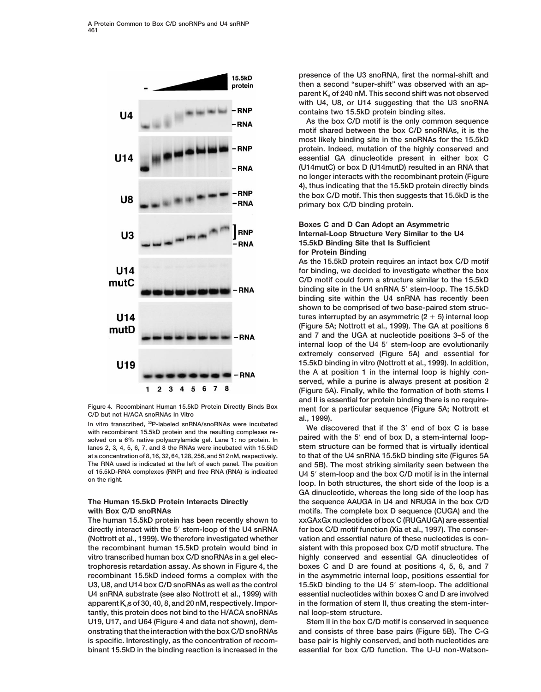

Figure 4. Recombinant Human 15.5kD Protein Directly Binds Box ment for a particular sequence (Figure 5A; Nottrott et<br>
C/D but not H/ACA snoRNAs In Vitro<br>
In vitro transcribed, <sup>32</sup>P-labeled snRNA/snoRNAs were incubated wit

**directly interact with the 5**9 **stem-loop of the U4 snRNA for box C/D motif function (Xia et al., 1997). The conser- (Nottrott et al., 1999). We therefore investigated whether vation and essential nature of these nucleotides is conthe recombinant human 15.5kD protein would bind in sistent with this proposed box C/D motif structure. The vitro transcribed human box C/D snoRNAs in a gel elec- highly conserved and essential GA dinucleotides of trophoresis retardation assay. As shown in Figure 4, the boxes C and D are found at positions 4, 5, 6, and 7 U3, U8, and U14 box C/D snoRNAs as well as the control 15.5kD binding to the U4 5**9 **stem-loop. The additional** apparent K<sub>d</sub>s of 30, 40, 8, and 20 nM, respectively. Impor- in the formation of stem II, thus creating the stem-inter**tantly, this protein does not bind to the H/ACA snoRNAs nal loop-stem structure. U19, U17, and U64 (Figure 4 and data not shown), dem- Stem II in the box C/D motif is conserved in sequence onstrating that the interaction with the box C/D snoRNAs and consists of three base pairs (Figure 5B). The C-G is specific. Interestingly, as the concentration of recom- base pair is highly conserved, and both nucleotides are binant 15.5kD in the binding reaction is increased in the essential for box C/D function. The U-U non-Watson-**

**presence of the U3 snoRNA, first the normal-shift and then a second "super-shift" was observed with an ap**parent K<sub>d</sub> of 240 nM. This second shift was not observed **with U4, U8, or U14 suggesting that the U3 snoRNA contains two 15.5kD protein binding sites.**

**As the box C/D motif is the only common sequence motif shared between the box C/D snoRNAs, it is the most likely binding site in the snoRNAs for the 15.5kD protein. Indeed, mutation of the highly conserved and essential GA dinucleotide present in either box C (U14mutC) or box D (U14mutD) resulted in an RNA that no longer interacts with the recombinant protein (Figure 4), thus indicating that the 15.5kD protein directly binds the box C/D motif. This then suggests that 15.5kD is the primary box C/D binding protein.**

## **Boxes C and D Can Adopt an Asymmetric Internal-Loop Structure Very Similar to the U4 15.5kD Binding Site that Is Sufficient for Protein Binding**

**As the 15.5kD protein requires an intact box C/D motif for binding, we decided to investigate whether the box C/D motif could form a structure similar to the 15.5kD** binding site in the U4 snRNA 5' stem-loop. The 15.5kD **binding site within the U4 snRNA has recently been shown to be comprised of two base-paired stem struc**tures interrupted by an asymmetric  $(2 + 5)$  internal loop **(Figure 5A; Nottrott et al., 1999). The GA at positions 6 and 7 and the UGA at nucleotide positions 3–5 of the internal loop of the U4 5**9 **stem-loop are evolutionarily extremely conserved (Figure 5A) and essential for 15.5kD binding in vitro (Nottrott et al., 1999). In addition, the A at position 1 in the internal loop is highly conserved, while a purine is always present at position 2 (Figure 5A). Finally, while the formation of both stems I and II is essential for protein binding there is no require-**

solved on a 6% native polyacrylamide gel. Lane 1: no protein. In paired with the 5<sup>-</sup> end of box D, a stem-internal loop-<br>lanes 2, 3, 4, 5, 6, 7, and 8 the RNAs were incubated with 15.5kD stem structure can be formed that **at a concentration of 8, 16, 32, 64, 128, 256, and 512 nM, respectively. to that of the U4 snRNA 15.5kD binding site (Figures 5A The RNA used is indicated at the left of each panel. The position and 5B). The most striking similarity seen between the** of 15.5KD-RNA complexes (RNP) and free RNA (RNA) is indicated<br>on the right.<br>loop. In both structures, the short side of the loop is a **GA dinucleotide, whereas the long side of the loop has The Human 15.5kD Protein Interacts Directly the sequence AAUGA in U4 and NRUGA in the box C/D with Box C/D snoRNAs motifs. The complete box D sequence (CUGA) and the The human 15.5kD protein has been recently shown to xxGAxGx nucleotides of box C (RUGAUGA) are essential recombinant 15.5kD indeed forms a complex with the in the asymmetric internal loop, positions essential for U4 snRNA substrate (see also Nottrott et al., 1999) with essential nucleotides within boxes C and D are involved**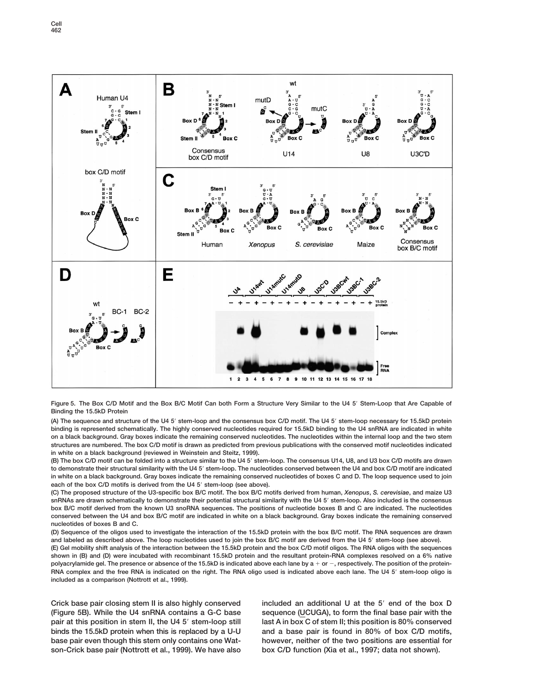



**(A) The sequence and structure of the U4 5**9 **stem-loop and the consensus box C/D motif. The U4 5**9 **stem-loop necessary for 15.5kD protein binding is represented schematically. The highly conserved nucleotides required for 15.5kD binding to the U4 snRNA are indicated in white on a black background. Gray boxes indicate the remaining conserved nucleotides. The nucleotides within the internal loop and the two stem structures are numbered. The box C/D motif is drawn as predicted from previous publications with the conserved motif nucleotides indicated in white on a black background (reviewed in Weinstein and Steitz, 1999).**

**(B) The box C/D motif can be folded into a structure similar to the U4 5**9 **stem-loop. The consensus U14, U8, and U3 box C/D motifs are drawn to demonstrate their structural similarity with the U4 5**9 **stem-loop. The nucleotides conserved between the U4 and box C/D motif are indicated in white on a black background. Gray boxes indicate the remaining conserved nucleotides of boxes C and D. The loop sequence used to join** each of the box C/D motifs is derived from the U4 5' stem-loop (see above).

**(C) The proposed structure of the U3-specific box B/C motif. The box B/C motifs derived from human,** *Xenopus***,** *S. cerevisiae***, and maize U3** snRNAs are drawn schematically to demonstrate their potential structural similarity with the U4 5' stem-loop. Also included is the consensus **box B/C motif derived from the known U3 snoRNA sequences. The positions of nucleotide boxes B and C are indicated. The nucleotides conserved between the U4 and box B/C motif are indicated in white on a black background. Gray boxes indicate the remaining conserved nucleotides of boxes B and C.**

**(D) Sequence of the oligos used to investigate the interaction of the 15.5kD protein with the box B/C motif. The RNA sequences are drawn** and labeled as described above. The loop nucleotides used to join the box B/C motif are derived from the U4 5' stem-loop (see above).

**(E) Gel mobility shift analysis of the interaction between the 15.5kD protein and the box C/D motif oligos. The RNA oligos with the sequences shown in (B) and (D) were incubated with recombinant 15.5kD protein and the resultant protein-RNA complexes resolved on a 6% native** polyacrylamide gel. The presence or absence of the 15.5kD is indicated above each lane by a + or -, respectively. The position of the protein-**RNA complex and the free RNA is indicated on the right. The RNA oligo used is indicated above each lane. The U4 5**9 **stem-loop oligo is included as a comparison (Nottrott et al., 1999).**

**Crick base pair closing stem II is also highly conserved included an additional U at the 5**9 **end of the box D (Figure 5B). While the U4 snRNA contains a G-C base sequence (UCUGA), to form the final base pair with the pair at this position in stem II, the U45' stem-loop still last A in box C of stem II; this position is 80% conserved binds the 15.5kD protein when this is replaced by a U-U and a base pair is found in 80% of box C/D motifs, base pair even though this stem only contains one Wat- however, neither of the two positions are essential for son-Crick base pair (Nottrott et al., 1999). We have also box C/D function (Xia et al., 1997; data not shown).**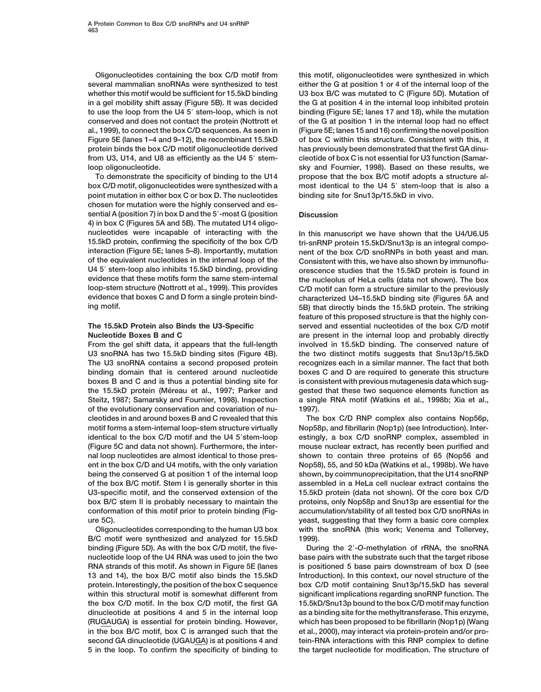**several mammalian snoRNAs were synthesized to test either the G at position 1 or 4 of the internal loop of the Figure 5E (lanes 1–4 and 9–12), the recombinant 15.5kD of box C within this structure. Consistent with this, it protein binds the box C/D motif oligonucleotide derived has previously been demonstrated that the first GA dinufrom U3, U14, and U8 as efficiently as the U4 5**9 **stem- cleotide of box C is not essential for U3 function (Samarloop oligonucleotide. sky and Fournier, 1998). Based on these results, we**

**box C/D motif, oligonucleotides were synthesized with a most identical to the U4 5**9 **stem-loop that is also a point mutation in either box C or box D. The nucleotides binding site for Snu13p/15.5kD in vivo. chosen for mutation were the highly conserved and essential A (position 7) in box D and the 5'-most G (position Discussion 4) in box C (Figures 5A and 5B). The mutated U14 oligonucleotides were incapable of interacting with the In this manuscript we have shown that the U4/U6.U5 15.5kD protein, confirming the specificity of the box C/D tri-snRNP protein 15.5kD/Snu13p is an integral compointeraction (Figure 5E; lanes 5–8). Importantly, mutation nent of the box C/D snoRNPs in both yeast and man. of the equivalent nucleotides in the internal loop of the Consistent with this, we have also shown by immunoflu-U4 5**9 **stem-loop also inhibits 15.5kD binding, providing orescence studies that the 15.5kD protein is found in evidence that these motifs form the same stem-internal the nucleolus of HeLa cells (data not shown). The box loop-stem structure (Nottrott et al., 1999). This provides C/D motif can form a structure similar to the previously**

**From the gel shift data, it appears that the full-length involved in 15.5kD binding. The conserved nature of U3 snoRNA has two 15.5kD binding sites (Figure 4B). the two distinct motifs suggests that Snu13p/15.5kD The U3 snoRNA contains a second proposed protein recognizes each in a similar manner. The fact that both binding domain that is centered around nucleotide boxes C and D are required to generate this structure boxes B and C and is thus a potential binding site for is consistent with previous mutagenesis data which sugthe 15.5kD protein (Me´reau et al., 1997; Parker and gested that these two sequence elements function as Steitz, 1987; Samarsky and Fournier, 1998). Inspection a single RNA motif (Watkins et al., 1998b; Xia et al., of the evolutionary conservation and covariation of nu- 1997). cleotides in and around boxes B and C revealed that this The box C/D RNP complex also contains Nop56p,** motif forms a stem-internal loop-stem structure virtually Nop58p, and fibrillarin (Nop1p) (see Introduction). Inter**identical to the box C/D motif and the U4 5**9**stem-loop estingly, a box C/D snoRNP complex, assembled in (Figure 5C and data not shown). Furthermore, the inter- mouse nuclear extract, has recently been purified and nal loop nucleotides are almost identical to those pres- shown to contain three proteins of 65 (Nop56 and ent in the box C/D and U4 motifs, with the only variation Nop58), 55, and 50 kDa (Watkins et al., 1998b). We have being the conserved G at position 1 of the internal loop shown, by coimmunoprecipitation, that the U14 snoRNP of the box B/C motif. Stem I is generally shorter in this assembled in a HeLa cell nuclear extract contains the U3-specific motif, and the conserved extension of the 15.5kD protein (data not shown). Of the core box C/D box B/C stem II is probably necessary to maintain the proteins, only Nop58p and Snu13p are essential for the conformation of this motif prior to protein binding (Fig- accumulation/stability of all tested box C/D snoRNAs in ure 5C). yeast, suggesting that they form a basic core complex**

**B/C motif were synthesized and analyzed for 15.5kD 1999). binding (Figure 5D). As with the box C/D motif, the five- During the 2**9**-***O***-methylation of rRNA, the snoRNA nucleotide loop of the U4 RNA was used to join the two base pairs with the substrate such that the target ribose RNA strands of this motif. As shown in Figure 5E (lanes is positioned 5 base pairs downstream of box D (see 13 and 14), the box B/C motif also binds the 15.5kD Introduction). In this context, our novel structure of the protein. Interestingly, the position of the box C sequence box C/D motif containing Snu13p/15.5kD has several within this structural motif is somewhat different from significant implications regarding snoRNP function. The the box C/D motif. In the box C/D motif, the first GA 15.5kD/Snu13p bound to the box C/D motif may function dinucleotide at positions 4 and 5 in the internal loop as a binding site for the methyltransferase. This enzyme, (RUGAUGA) is essential for protein binding. However, which has been proposed to be fibrillarin (Nop1p) (Wang in the box B/C motif, box C is arranged such that the et al., 2000), may interact via protein-protein and/or prosecond GA dinucleotide (UGAUGA) is at positions 4 and tein-RNA interactions with this RNP complex to define 5 in the loop. To confirm the specificity of binding to the target nucleotide for modification. The structure of**

**Oligonucleotides containing the box C/D motif from this motif, oligonucleotides were synthesized in which** whether this motif would be sufficient for 15.5kD binding U3 box B/C was mutated to C (Figure 5D). Mutation of **in a gel mobility shift assay (Figure 5B). It was decided the G at position 4 in the internal loop inhibited protein to use the loop from the U4 5**9 **stem-loop, which is not binding (Figure 5E; lanes 17 and 18), while the mutation conserved and does not contact the protein (Nottrott et of the G at position 1 in the internal loop had no effect al., 1999), to connect the box C/D sequences. As seen in (Figure 5E; lanes 15 and 16) confirming the novel position To demonstrate the specificity of binding to the U14 propose that the box B/C motif adopts a structure al-**

characterized U4-15.5kD binding site (Figures 5A and **ing motif. 5B) that directly binds the 15.5kD protein. The striking feature of this proposed structure is that the highly con-The 15.5kD Protein also Binds the U3-Specific served and essential nucleotides of the box C/D motif Nucleotide Boxes B and C are present in the internal loop and probably directly**

**Oligonucleotides corresponding to the human U3 box with the snoRNA (this work; Venema and Tollervey,**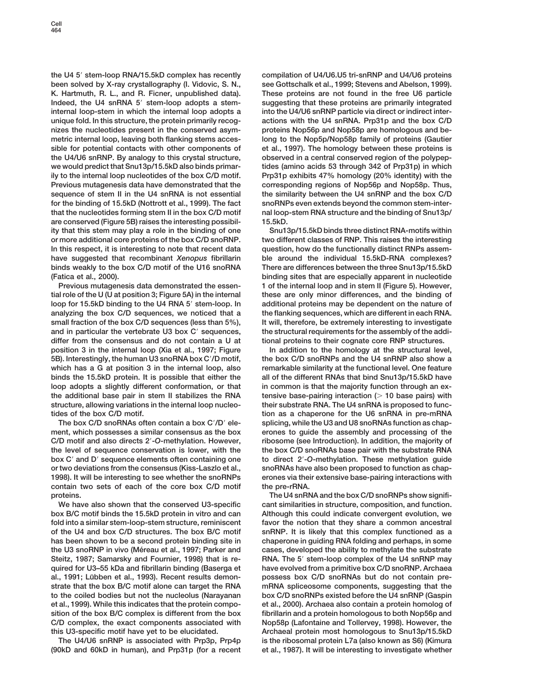**the U4 5**9 **stem-loop RNA/15.5kD complex has recently compilation of U4/U6.U5 tri-snRNP and U4/U6 proteins been solved by X-ray crystallography (I. Vidovic, S. N., see Gottschalk et al., 1999; Stevens and Abelson, 1999). K. Hartmuth, R. L., and R. Ficner, unpublished data). These proteins are not found in the free U6 particle Indeed, the U4 snRNA 5**9 **stem-loop adopts a stem- suggesting that these proteins are primarily integrated internal loop-stem in which the internal loop adopts a into the U4/U6 snRNP particle via direct or indirect interunique fold. In this structure, the protein primarily recog- actions with the U4 snRNA. Prp31p and the box C/D nizes the nucleotides present in the conserved asym- proteins Nop56p and Nop58p are homologous and bemetric internal loop, leaving both flanking stems acces- long to the Nop5p/Nop58p family of proteins (Gautier sible for potential contacts with other components of et al., 1997). The homology between these proteins is the U4/U6 snRNP. By analogy to this crystal structure, observed in a central conserved region of the polypepwe would predict that Snu13p/15.5kD also binds primar- tides (amino acids 53 through 342 of Prp31p) in which ily to the internal loop nucleotides of the box C/D motif. Prp31p exhibits 47% homology (20% identity) with the Previous mutagenesis data have demonstrated that the corresponding regions of Nop56p and Nop58p. Thus, sequence of stem II in the U4 snRNA is not essential the similarity between the U4 snRNP and the box C/D for the binding of 15.5kD (Nottrott et al., 1999). The fact snoRNPs even extends beyond the common stem-interthat the nucleotides forming stem II in the box C/D motif nal loop-stem RNA structure and the binding of Snu13p/ are conserved (Figure 5B) raises the interesting possibil- 15.5kD. ity that this stem may play a role in the binding of one Snu13p/15.5kD binds three distinct RNA-motifs within or more additional core proteins of the box C/D snoRNP. two different classes of RNP. This raises the interesting In this respect, it is interesting to note that recent data question, how do the functionally distinct RNPs assemhave suggested that recombinant** *Xenopus* **fibrillarin ble around the individual 15.5kD-RNA complexes? binds weakly to the box C/D motif of the U16 snoRNA There are differences between the three Snu13p/15.5kD (Fatica et al., 2000). binding sites that are especially apparent in nucleotide**

**tial role of the U (U at position 3; Figure 5A) in the internal these are only minor differences, and the binding of loop for 15.5kD binding to the U4 RNA 5**9 **stem-loop. In additional proteins may be dependent on the nature of analyzing the box C/D sequences, we noticed that a the flanking sequences, which are different in each RNA. small fraction of the box C/D sequences (less than 5%), It will, therefore, be extremely interesting to investigate** and in particular the vertebrate U3 box C' sequences, the structural requirements for the assembly of the addi**differ from the consensus and do not contain a U at tional proteins to their cognate core RNP structures. position 3 in the internal loop (Xia et al., 1997; Figure In addition to the homology at the structural level, 5B). Interestingly, the human U3 snoRNA box C**9**/D motif, the box C/D snoRNPs and the U4 snRNP also show a which has a G at position 3 in the internal loop, also remarkable similarity at the functional level. One feature binds the 15.5kD protein. It is possible that either the all of the different RNAs that bind Snu13p/15.5kD have** loop adopts a slightly different conformation, or that in common is that the majority function through an ex**the additional base pair in stem II stabilizes the RNA tensive base-pairing interaction (**. **10 base pairs) with structure, allowing variations in the internal loop nucleo- their substrate RNA. The U4 snRNA is proposed to functides of the box C/D motif. tion as a chaperone for the U6 snRNA in pre-mRNA**

**ment, which possesses a similar consensus as the box erones to guide the assembly and processing of the** C/D motif and also directs 2'-O-methylation. However, ribosome (see Introduction). In addition, the majority of **the level of sequence conservation is lower, with the the box C/D snoRNAs base pair with the substrate RNA box C**9 **and D**9 **sequence elements often containing one to direct 2**9**-***O***-methylation. These methylation guide or two deviations from the consensus (Kiss-Laszlo et al., snoRNAs have also been proposed to function as chap-1998). It will be interesting to see whether the snoRNPs erones via their extensive base-pairing interactions with contain two sets of each of the core box C/D motif the pre-rRNA.**

**box B/C motif binds the 15.5kD protein in vitro and can Although this could indicate convergent evolution, we fold into a similar stem-loop-stem structure, reminiscent favor the notion that they share a common ancestral of the U4 and box C/D structures. The box B/C motif snRNP. It is likely that this complex functioned as a has been shown to be a second protein binding site in chaperone in guiding RNA folding and perhaps, in some the U3 snoRNP in vivo (Me´reau et al., 1997; Parker and cases, developed the ability to methylate the substrate Steitz, 1987; Samarsky and Fournier, 1998) that is re- RNA. The 5**9 **stem-loop complex of the U4 snRNP may quired for U3–55 kDa and fibrillarin binding (Baserga et have evolved from a primitive box C/D snoRNP. Archaea** al., 1991; Lübben et al., 1993). Recent results demon-<br>
possess box C/D snoRNAs but do not contain pre**strate that the box B/C motif alone can target the RNA mRNA spliceosome components, suggesting that the to the coiled bodies but not the nucleolus (Narayanan box C/D snoRNPs existed before the U4 snRNP (Gaspin et al., 1999). While this indicates that the protein compo- et al., 2000). Archaea also contain a protein homolog of sition of the box B/C complex is different from the box fibrillarin and a protein homologous to both Nop56p and C/D complex, the exact components associated with Nop58p (Lafontaine and Tollervey, 1998). However, the**

**(90kD and 60kD in human), and Prp31p (for a recent et al., 1987). It will be interesting to investigate whether**

**Previous mutagenesis data demonstrated the essen- 1 of the internal loop and in stem II (Figure 5). However,**

**The box C/D snoRNAs often contain a box C**9**/D**9 **ele- splicing, while the U3 and U8 snoRNAs function as chap-**

**proteins.** The U4 snRNA and the box C/D snoRNPs show signifi-**We have also shown that the conserved U3-specific cant similarities in structure, composition, and function. this U3-specific motif have yet to be elucidated. Archaeal protein most homologous to Snu13p/15.5kD The U4/U6 snRNP is associated with Prp3p, Prp4p is the ribosomal protein L7a (also known as S6) (Kimura**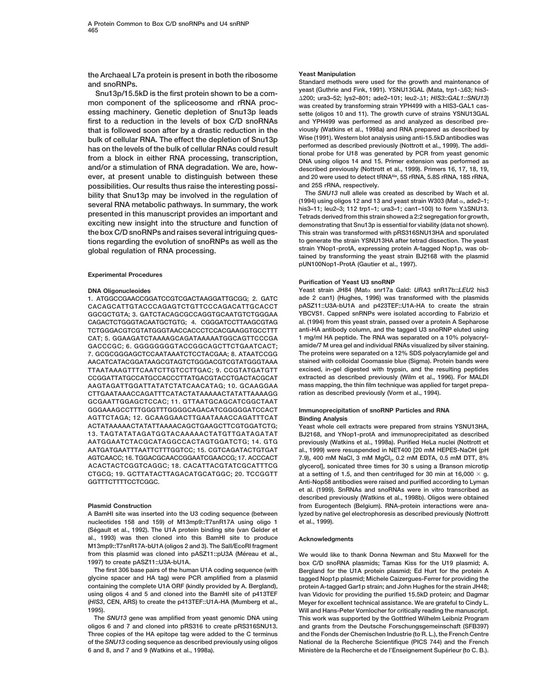**the Archaeal L7a protein is present in both the ribosome Yeast Manipulation**

Snu13p/15.5kD is the first protein shown to be a com-<br>mon component of the spliceosome and rRNA proc-<br>was created by transforming strain YPH499 with a HIS3-GAL1 cas**essing machinery. Genetic depletion of Snu13p leads sette (oligos 10 and 11). The growth curve of strains YSNU13GAL first to a reduction in the levels of box C/D snoRNAs and YPH499 was performed as and analyzed as described prethat is followed soon after by a drastic reduction in the viously (Watkins et al., 1998a) and RNA prepared as described by** bulk of cellular RNA. The effect the depletion of Snu13p<br>has on the levels of the bulk of cellular RNAs could result<br>from a block in either RNA processing, transcription,<br>from a block in either RNA processing, transcriptio **and/or a stimulation of RNA degradation. We are, how- described previously (Nottrott et al., 1999). Primers 16, 17, 18, 19, and 20 were used to detect tRNAAla ever, at present unable to distinguish between these , 5S rRNA, 5.8S rRNA, 18S rRNA, possibilities. Our results thus raise the interesting possi- and 25S rRNA, respectively.** bility that Snu13p may be involved in the regulation of the SNU13 null allele was created as described by Wach et al.<br>several RNA metabolic pathways. In summary, the work  $\frac{(1994)}{3}$  using oligos 12 and 13 and yeast str **exciting new insight into the structure and function of demonstrating that Snu13p is essential for viability (data not shown). the box C/D snoRNPs and raises several intriguing ques- This strain was transformed with pRS316SNU13HA and sporulated tions regarding the evolution of snoRNPs as well as the** to generate the strain YSNU13HA after tetrad dissection. The yeast<br> **train YNop1-protA, expressing protein A-tagged Nop1p**, was ob-

### **Experimental Procedures**

1. ATGGCCGAACCGGATCCGTCGACTAAGGATTGCGG; 2. GATC **CACAGCATTGTACCCAGAGTCTGTTCCCAGACATTGCACCT pASZ11::U3A-bU1A and p423TEF::U1A-HA to create the strain GGCGCTGTA; 3. GATCTACAGCGCCAGGTGCAATGTCTGGGAA YBCVS1. Capped snRNPs were isolated according to Fabrizio et CAGACTCTGGGTACAATGCTGTG; 4. CGGGATCCTTAAGCGTAG al. (1994) from this yeast strain, passed over a protein A Sepharose TCTGGGACGTCGTATGGGTAACCACCCTCCACGAAGGTGCCTTT anti-HA antibody column, and the tagged U3 snoRNP eluted using CAT; 5. GGAAGATCTAAAAGCAGATAAAAATGGCAGTTCCCGA 1 mg/ml HA peptide. The RNA was separated on a 10% polyacryl-GACCCGC; 6. GGGGGGGGTACCGGCAGCTTCTGAATCACT; amide/7 M urea gel and individual RNAs visualized by silver staining. 7. GCGCGGGAGCTCCAATAAATCTCCTACGAA; 8. ATAATCCGG The proteins were separated on a 12% SDS polyacrylamide gel and AACATCATACGGATAAGCGTAGTCTGGGACGTCGTATGGGTAAA stained with colloidal Coomassie blue (Sigma). Protein bands were TTAATAAAGTTTCAATCTTGTCCTTGAC; 9. CCGTATGATGTT excised, in-gel digested with trypsin, and the resulting peptides CCGGATTATGCCATGCCACCCTTATGACGTACCTGACTACGCAT extracted as described previously (Wilm et al., 1996). For MALDI AAGTAGATTGGATTATATCTATCAACATAG; 10. GCAAGGAA mass mapping, the thin film technique was applied for target prepa-CTTGAATAAACCAGATTTCATACTATAAAAACTATATTAAAAGG ration as described previously (Vorm et al., 1994). GCGAATTGGAGCTCCAC; 11. GTTAATGCAGCATCGGCTAAT GGGAAAGCCTTTGGGTTTGGGGCAGACATCGGGGGATCCACT Immunoprecipitation of snoRNP Particles and RNA AGTTCTAGA; 12. GCAAGGAACTTGAATAAACCAGATTTCAT Binding Analysis ACTATAAAAACTATATTAAAACAGCTGAAGCTTCGTGGATCTG; Yeast whole cell extracts were prepared from strains YSNU13HA, AATGGAATCTACGCATAGGCCACTAGTGGATCTG; 14. GTG previously (Watkins et al., 1998a). Purified HeLa nuclei (Nottrott et AATGATGAATTTAATTCTTTGGTCC; 15. CGTCAGATACTGTGAT al., 1999) were resuspended in NET400 [20 mM HEPES-NaOH (pH AGTCAACC; 16. TGGACGCAACCGGAATCGAACCG; 17. ACCCACT 7.9), 400 mM NaCl, 3 mM MgCl2, 0.2 mM EDTA, 0.5 mM DTT, 8% ACACTACTCGGTCAGGC; 18. CACATTACGTATCGCATTTCG glycerol], sonicated three times for 30 s using a Branson microtip CTGCG; 19. GCTTATACTTAGACATGCATGGC; 20. TCCGGTT at a setting of 1.5, and then centrifuged for 30 min at 16,000** 3 **g. GGTTTCTTTTCCTCGGC. Anti-Nop58 antibodies were raised and purified according to Lyman**

**nucleotides 158 and 159) of M13mp9::T7snR17A using oligo 1 et al., 1999). (Se´ gault et al., 1992). The U1A protein binding site (van Gelder et al., 1993) was then cloned into this BamHI site to produce Acknowledgments M13mp9::T7snR17A-bU1A (oligos 2 and 3). The SalI/EcoRI fragment** from this plasmid was cloned into pASZ11::pU3A (Méreau et al., **We would like to thank Donna Newman and Stu Maxwell for the**<br>1997) to create pASZ11::U3A-bU1A.

**Standard methods were used for the growth and maintenance of and snoRNPs.**

**strain YNop1-protA, expressing protein A-tagged Nop1p, was ob- global regulation of RNA processing. tained by transforming the yeast strain BJ2168 with the plasmid pUN100Nop1-ProtA (Gautier et al., 1997).**

### **Purification of Yeast U3 snoRNP**

**DNA Oligonucleoides Yeast strain JH84 (Mat**a **snr17a Gald:** *URA***3 snR17b::***LEU***2 his3**

**BJ2168, and YNop1-protA and immunoprecipitated as described et al. (1999). SnRNAs and snoRNAs were in vitro transcribed as described previously (Watkins et al., 1998b). Oligos were obtained Plasmid Construction from Eurogentech (Belgium). RNA-protein interactions were ana-A BamHI site was inserted into the U3 coding sequence (between lyzed by native gel electrophoresis as described previously (Nottrott**

**1997) to create pASZ11::U3A-bU1A. box C/D snoRNA plasmids; Tamas Kiss for the U19 plasmid; A.** Bergland for the U1A protein plasmid; Ed Hurt for the protein A **glycine spacer and HA tag) were PCR amplified from a plasmid tagged Nop1p plasmid; Michele Caizergues-Ferrer for providing the containing the complete U1A ORF (kindly provided by A. Bergland), protein A-tagged Gar1p strain; and John Hughes for the strain JH48; using oligos 4 and 5 and cloned into the BamHI site of p413TEF Ivan Vidovic for providing the purified 15.5kD protein; and Dagmar (***HIS3***, CEN, ARS) to create the p413TEF::U1A-HA (Mumberg et al., Meyer for excellent technical assistance. We are grateful to Cindy L. 1995). Will and Hans-Peter Vornlocher for critically reading the manuscript. The** *SNU13* **gene was amplified from yeast genomic DNA using This work was supported by the Gottfried Wilhelm Leibniz Program oligos 6 and 7 and cloned into pRS316 to create pRS316SNU13. and grants from the Deutsche Forschungsgemeinschaft (SFB397) Three copies of the HA epitope tag were added to the C terminus and the Fonds der Chemischen Industrie (to R. L.), the French Centre of the** *SNU13* **coding sequence as described previously using oligos National de la Recherche Scientifique (PICS 744) and the French** 6 and 8, and 7 and 9 (Watkins et al., 1998a). **Munistère de la Recherche et de l'Enseignement Supérieur (to C. B.).**